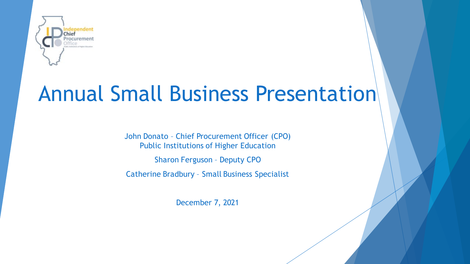

# Annual Small Business Presentation

John Donato – Chief Procurement Officer (CPO) Public Institutions of Higher Education

Sharon Ferguson – Deputy CPO

Catherine Bradbury – Small Business Specialist

December 7, 2021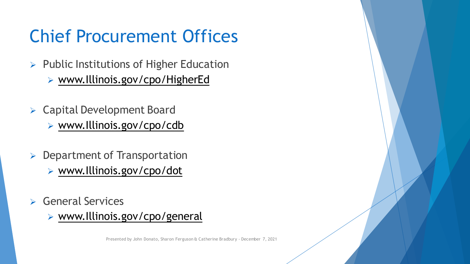## Chief Procurement Offices

- $\triangleright$  Public Institutions of Higher Education [www.Illinois.gov/cpo/HigherEd](http://www.illinois.gov/cpo/HigherEd)
- Capital Development Board [www.Illinois.gov/cpo/cdb](http://www.illinois.gov/cpo/cdb)
- $\triangleright$  Department of Transportation [www.Illinois.gov/cpo/dot](http://www.illinois.gov/cpo/dot)
- $\triangleright$  General Services
	- [www.Illinois.gov/cpo/general](http://www.illinois.gov/cpo/general)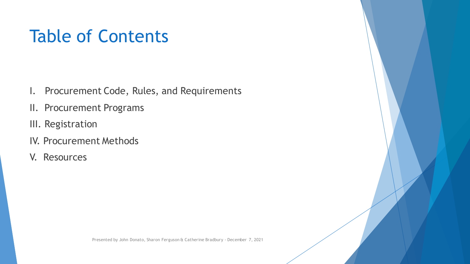### Table of Contents

- I. Procurement Code, Rules, and Requirements
- II. Procurement Programs
- III. Registration
- IV. Procurement Methods
- V. Resources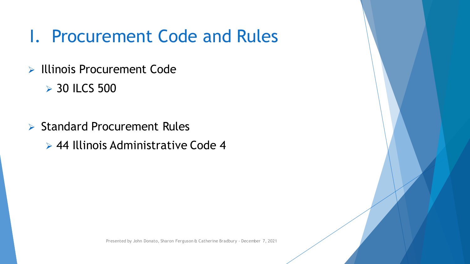### I. Procurement Code and Rules

- $\triangleright$  Illinois Procurement Code
	- **▶ 30 ILCS 500**
- $\triangleright$  Standard Procurement Rules

44 Illinois Administrative Code 4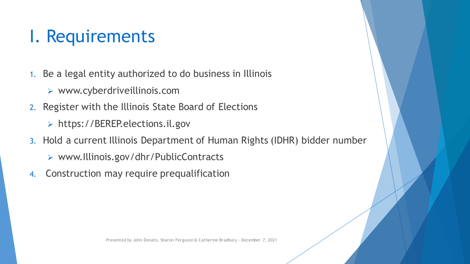### I. Requirements

- 1. Be a legal entity authorized to do business in Illinois
	- www.cyberdriveillinois.com
- 2. Register with the Illinois State Board of Elections
	- https://BEREP.elections.il.gov
- 3. Hold a current Illinois Department of Human Rights (IDHR) bidder number
	- www.Illinois.gov/dhr/PublicContracts
- 4. Construction may require prequalification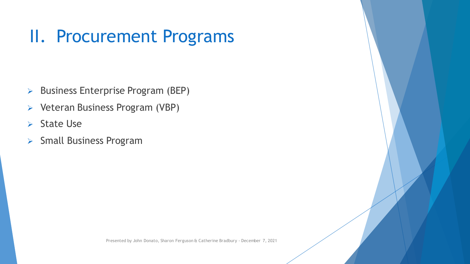### II. Procurement Programs

- $\triangleright$  Business Enterprise Program (BEP)
- $\triangleright$  Veteran Business Program (VBP)
- $\triangleright$  State Use
- $\triangleright$  Small Business Program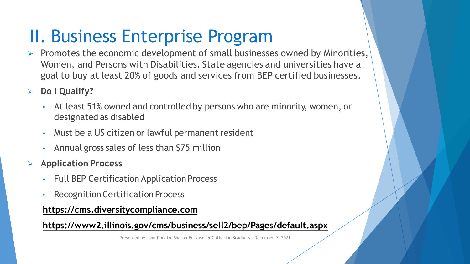### II. Business Enterprise Program

- Promotes the economic development of small businesses owned by Minorities, Women, and Persons with Disabilities. State agencies and universities have a goal to buy at least 20% of goods and services from BEP certified businesses.
- **Do I Qualify?**
	- At least 51% owned and controlled by persons who are minority, women, or designated as disabled
	- Must be a US citizen or lawful permanent resident
	- Annual gross sales of less than \$75 million
- **Application Process**
	- Full BEP Certification Application Process
	- Recognition Certification Process

#### **[https://cms.diversitycompliance.com](https://cms.diversitycompliance.com/)**

### **<https://www2.illinois.gov/cms/business/sell2/bep/Pages/default.aspx>**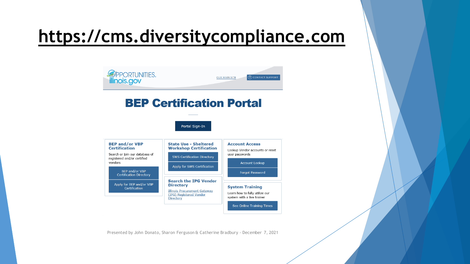### **[https://cms.diversitycompliance.com](https://cms.diversitycompliance.com/)**

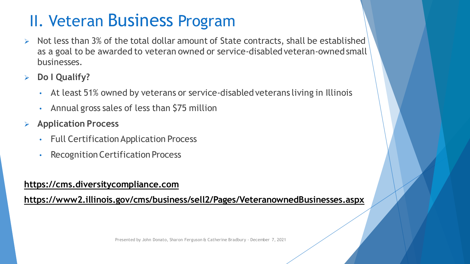### II. Veteran Business Program

- Not less than 3% of the total dollar amount of State contracts, shall be established as a goal to be awarded to veteran owned or service-disabled veteran-owned small businesses.
- **Do I Qualify?**
	- At least 51% owned by veterans or service-disabled veterans living in Illinois
	- Annual gross sales of less than \$75 million
- **Application Process**
	- Full Certification Application Process
	- Recognition Certification Process

#### **[https://cms.diversitycompliance.com](https://cms.diversitycompliance.com/)**

**<https://www2.illinois.gov/cms/business/sell2/Pages/VeteranownedBusinesses.aspx>**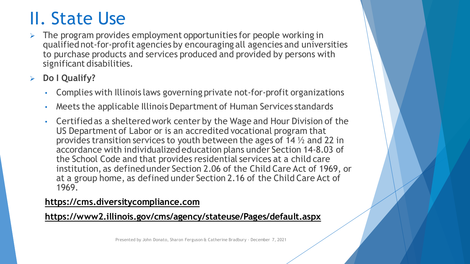### II. State Use

- The program provides employment opportunities for people working in qualified not-for-profit agencies by encouraging all agencies and universities to purchase products and services produced and provided by persons with significant disabilities.
- **Do I Qualify?**
	- Complies with Illinois laws governing private not-for-profit organizations
	- Meets the applicable Illinois Department of Human Services standards
	- Certified as a sheltered work center by the Wage and Hour Division of the US Department of Labor or is an accredited vocational program that provides transition services to youth between the ages of 14 ½ and 22 in accordance with individualized education plans under Section 14-8.03 of the School Code and that provides residential services at a child care institution, as defined under Section 2.06 of the Child Care Act of 1969, or at a group home, as defined under Section 2.16 of the Child Care Act of 1969.

#### **[https://cms.diversitycompliance.com](https://cms.diversitycompliance.com/)**

#### **<https://www2.illinois.gov/cms/agency/stateuse/Pages/default.aspx>**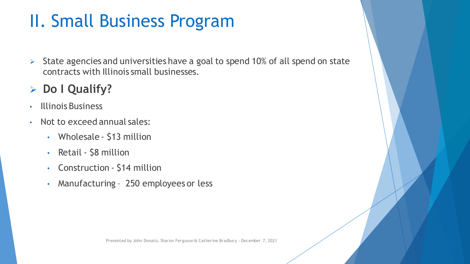### II. Small Business Program

 $\triangleright$  State agencies and universities have a goal to spend 10% of all spend on state contracts with Illinois small businesses.

### **Do I Qualify?**

- Illinois Business
- Not to exceed annual sales:
	- Wholesale \$13 million
	- Retail \$8 million
	- Construction \$14 million
	- Manufacturing 250 employees or less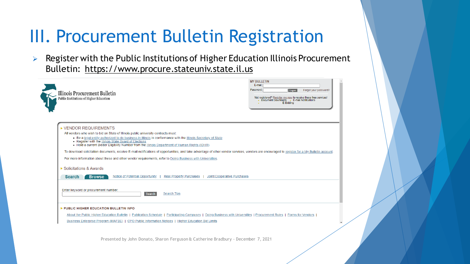### III. Procurement Bulletin Registration

 $\triangleright$  Register with the Public Institutions of Higher Education Illinois Procurement Bulletin: [https://www.procure.stateuniv.state.il.us](https://www.procure.stateuniv.state.il.us/)

| Illinois Procurement Bulletin<br>Public Institutions of Higher Education                                                                                                                                                                                                                                                                                                                                                                                                                                                                                                                                                                                                                                  | <b>MY BULLETIN</b><br>E-mail:<br>Password:<br>Forgot your password?<br>Logon<br>Not registered? Register me now to receive these free services!<br>Document Downloads - E-mail Notifications<br>E-Bidding |
|-----------------------------------------------------------------------------------------------------------------------------------------------------------------------------------------------------------------------------------------------------------------------------------------------------------------------------------------------------------------------------------------------------------------------------------------------------------------------------------------------------------------------------------------------------------------------------------------------------------------------------------------------------------------------------------------------------------|-----------------------------------------------------------------------------------------------------------------------------------------------------------------------------------------------------------|
| ▶ VENDOR REQUIREMENTS<br>All vendors who wish to bid on State of Illinois public university contracts must:<br>Be a legal entity authorized to do business in Illinois in conformance with the Illinois Secretary of State<br>Register with the Illinois State Board of Elections<br>- Hold a current Bidder Eligibility Number from the <b>Illinois</b> Department of Human Rights (IDHR)<br>To download solicitation documents, receive E-mail notifications of opportunities, and take advantage of other vendor services, vendors are encouraged to register for a My Bulletin account.<br>For more information about these and other vendor requirements, refer to Doing Business with Universities. |                                                                                                                                                                                                           |
| ▶ Solicitations & Awards<br>Notice of Potential Opportunity<br><b>Real Property Purchases</b><br>Joint/Cooperative Purchases<br><b>Browse</b><br><b>Search</b>                                                                                                                                                                                                                                                                                                                                                                                                                                                                                                                                            |                                                                                                                                                                                                           |
| Enter keyword or procurement number:<br><b>Search Tips</b><br>Search<br>PUBLIC HIGHER EDUCATION BULLETIN INFO                                                                                                                                                                                                                                                                                                                                                                                                                                                                                                                                                                                             |                                                                                                                                                                                                           |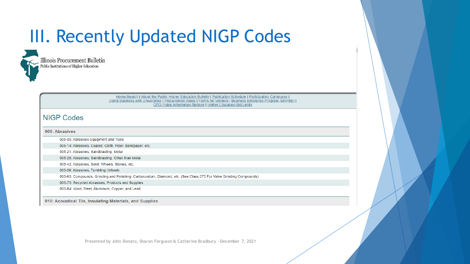### III. Recently Updated NIGP Codes



Home/Search | About the Public Higher Education Bulletin | Publication Schedule | Participating Campuses | Doing Business with Universities | Procurement Rules | Forms for Vendors | Business Enterprise Program (MAFBE) | CPO Public Information Notices | Higher Education Bid Limits

#### **NIGP Codes**

#### 005: Abrasives

- 005-05: Abrasives Equipment and Tools
- 005-14: Abrasives, Coated: Cloth, Fiber, Sandpaper, etc.
- 005-21: Abrasives, Sandblasting, Metal
- 005-28: Abrasives, Sandblasting, Other than Metal
- 005-42: Abrasives, Solid: Wheels, Stones, etc.
- 005-56: Abrasives, Tumbling (Wheel)
- 005-63: Compounds, Grinding and Polishing: Carborundum, Diamond, etc. (See Class 075 For Valve Grinding Compounds)
- 005-75: Recycled Abrasives, Products and Supplies
- 005-84: Wool, Steel, Aluminum, Copper, and Lead

010: Acoustical Tile, Insulating Materials, and Supplies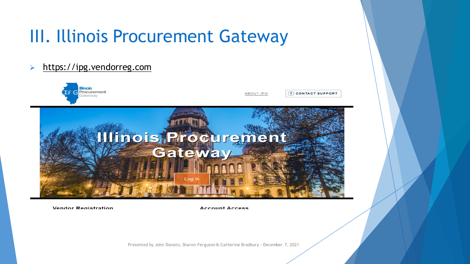### III. Illinois Procurement Gateway

#### [https://ipg.vendorreg.com](https://ipg.vendorreg.com/)



**Vendor Registration** 

**Account Access**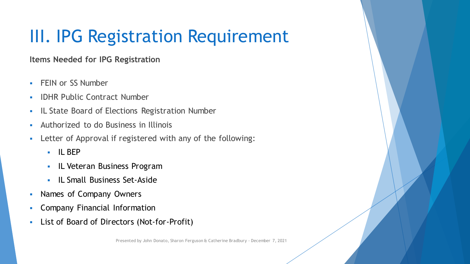## III. IPG Registration Requirement

**Items Needed for IPG Registration**

- **FEIN or SS Number**
- **IDHR Public Contract Number**
- **IL State Board of Elections Registration Number**
- Authorized to do Business in Illinois
- Letter of Approval if registered with any of the following:
	- IL BEP
	- **IL Veteran Business Program**
	- **IL Small Business Set-Aside**
- Names of Company Owners
- **Company Financial Information**
- List of Board of Directors (Not-for-Profit)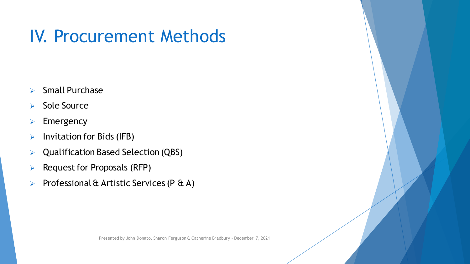### IV. Procurement Methods

- $\triangleright$  Small Purchase
- $\triangleright$  Sole Source
- $\triangleright$  Emergency
- $\triangleright$  Invitation for Bids (IFB)
- $\triangleright$  Qualification Based Selection (QBS)
- $\triangleright$  Request for Proposals (RFP)
- Professional & Artistic Services (P  $\&$  A)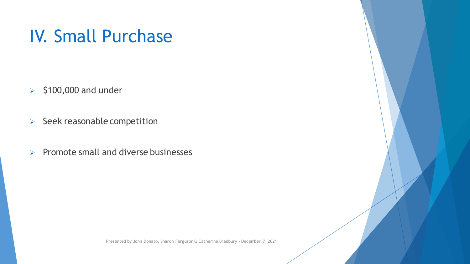### IV. Small Purchase

- $\geq$  \$100,000 and under
- $\triangleright$  Seek reasonable competition
- $\triangleright$  Promote small and diverse businesses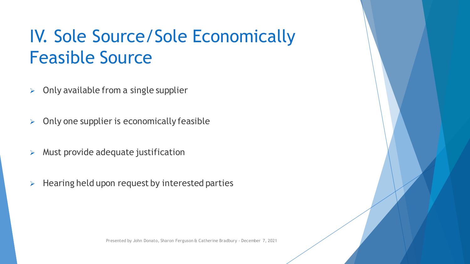### IV. Sole Source/Sole Economically Feasible Source

- $\triangleright$  Only available from a single supplier
- $\triangleright$  Only one supplier is economically feasible
- $\triangleright$  Must provide adequate justification
- $\triangleright$  Hearing held upon request by interested parties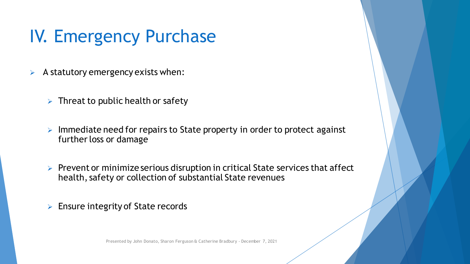### IV. Emergency Purchase

- $\triangleright$  A statutory emergency exists when:
	- $\triangleright$  Threat to public health or safety
	- $\triangleright$  Immediate need for repairs to State property in order to protect against further loss or damage
	- $\triangleright$  Prevent or minimize serious disruption in critical State services that affect health, safety or collection of substantial State revenues
	- $\triangleright$  Ensure integrity of State records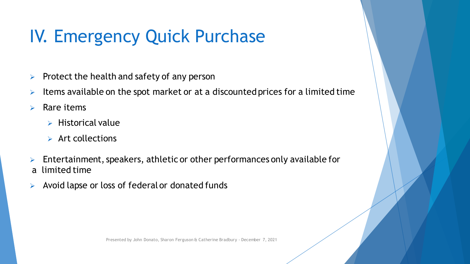## IV. Emergency Quick Purchase

- $\triangleright$  Protect the health and safety of any person
- Items available on the spot market or at a discounted prices for a limited time
- $\triangleright$  Rare items
	- $\triangleright$  Historical value
	- $\triangleright$  Art collections
- Entertainment, speakers, athletic or other performances only available for a limited time
- $\triangleright$  Avoid lapse or loss of federal or donated funds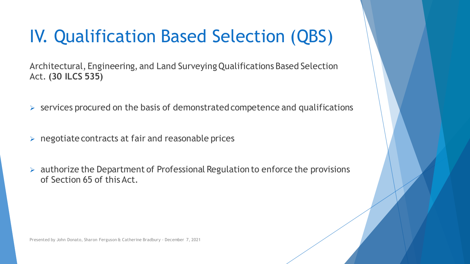### IV. Qualification Based Selection (QBS)

Architectural, Engineering, and Land Surveying Qualifications Based Selection Act. **(30 ILCS 535)**

- $\triangleright$  services procured on the basis of demonstrated competence and qualifications
- $\triangleright$  negotiate contracts at fair and reasonable prices
- $\triangleright$  authorize the Department of Professional Regulation to enforce the provisions of Section 65 of this Act.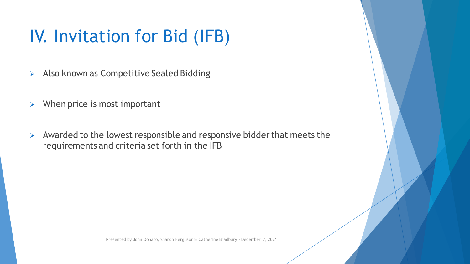### IV. Invitation for Bid (IFB)

- $\triangleright$  Also known as Competitive Sealed Bidding
- $\triangleright$  When price is most important
- $\triangleright$  Awarded to the lowest responsible and responsive bidder that meets the requirements and criteria set forth in the IFB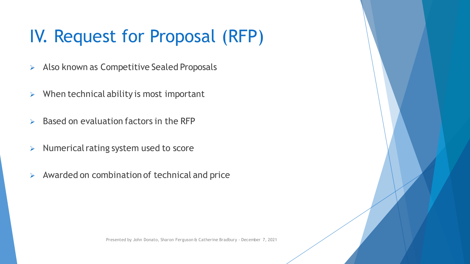## IV. Request for Proposal (RFP)

- $\triangleright$  Also known as Competitive Sealed Proposals
- $\triangleright$  When technical ability is most important
- $\triangleright$  Based on evaluation factors in the RFP
- $\triangleright$  Numerical rating system used to score
- $\triangleright$  Awarded on combination of technical and price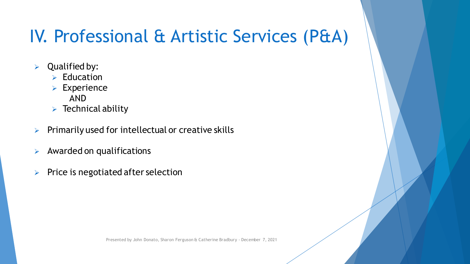### IV. Professional & Artistic Services (P&A)

- $\triangleright$  Qualified by:
	- $\triangleright$  Education
	- **Experience** 
		- AND
	- $\triangleright$  Technical ability
- $\triangleright$  Primarily used for intellectual or creative skills
- $\triangleright$  Awarded on qualifications
- $\triangleright$  Price is negotiated after selection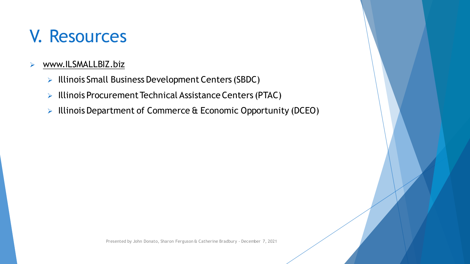### V. Resources

#### [www.ILSMALLBIZ.biz](http://www.ilsmallbiz.biz/)

- $\triangleright$  Illinois Small Business Development Centers (SBDC)
- $\triangleright$  Illinois Procurement Technical Assistance Centers (PTAC)
- $\triangleright$  Illinois Department of Commerce & Economic Opportunity (DCEO)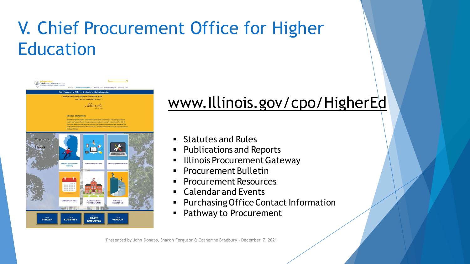## V. Chief Procurement Office for Higher **Education**



### [www.Illinois.gov/cpo/HigherEd](http://www.illinois.gov/cpo/HigherEd)

- Statutes and Rules
- **Publications and Reports**
- Illinois Procurement Gateway
- Procurement Bulletin
- Procurement Resources
- Calendar and Events
- Purchasing Office Contact Information
- Pathway to Procurement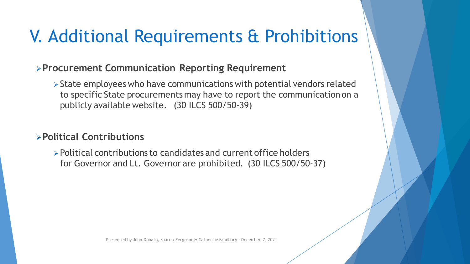### V. Additional Requirements & Prohibitions

### **Procurement Communication Reporting Requirement**

 $\triangleright$  State employees who have communications with potential vendors related to specific State procurements may have to report the communication on a publicly available website. (30 ILCS 500/50-39)

### **Political Contributions**

Political contributions to candidates and current office holders for Governor and Lt. Governor are prohibited. (30 ILCS 500/50-37)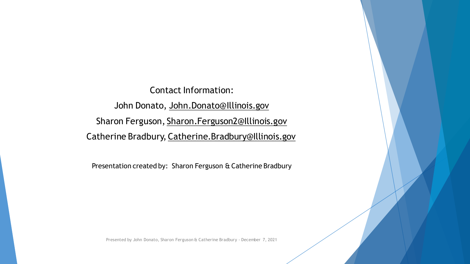Contact Information: John Donato, [John.Donato@Illinois.gov](mailto:John.Donato@Illinois.gov) Sharon Ferguson, [Sharon.Ferguson2@Illinois.gov](mailto:Sharon.Ferguson@illinois.gov) Catherine Bradbury, Catherine.Bradbury[@Illinois.gov](mailto:Keely.Burton@illinois.gov)

Presentation created by: Sharon Ferguson & Catherine Bradbury